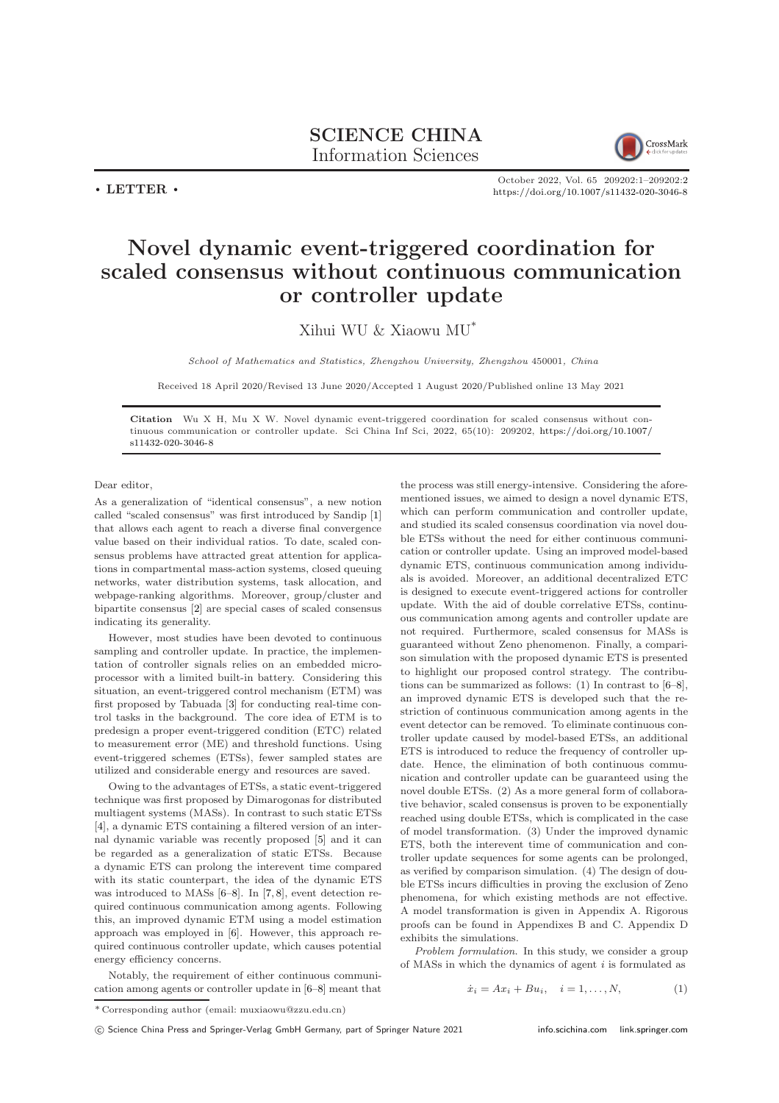## SCIENCE CHINA Information Sciences



 $\cdot$  LETTER  $\cdot$ 

## October 2022, Vol. 65 209202:1–209202[:2](#page-1-0) <https://doi.org/10.1007/s11432-020-3046-8>

## Novel dynamic event-triggered coordination for scaled consensus without continuous communication or controller update

Xihui WU & Xiaowu MU\*

School of Mathematics and Statistics, Zhengzhou University, Zhengzhou 450001, China

Received 18 April 2020/Revised 13 June 2020/Accepted 1 August 2020/Published online 13 May 2021

Citation Wu X H, Mu X W. Novel dynamic event-triggered coordination for scaled consensus without continuous communication or controller update. Sci China Inf Sci, 2022, 65(10): 209202, [https://doi.org/10.1007/](https://doi.org/10.1007/s11432-020-3046-8) [s11432-020-3046-8](https://doi.org/10.1007/s11432-020-3046-8)

## Dear editor,

As a generalization of "identical consensus", a new notion called "scaled consensus" was first introduced by Sandip [\[1\]](#page-1-1) that allows each agent to reach a diverse final convergence value based on their individual ratios. To date, scaled consensus problems have attracted great attention for applications in compartmental mass-action systems, closed queuing networks, water distribution systems, task allocation, and webpage-ranking algorithms. Moreover, group/cluster and bipartite consensus [\[2\]](#page-1-2) are special cases of scaled consensus indicating its generality.

However, most studies have been devoted to continuous sampling and controller update. In practice, the implementation of controller signals relies on an embedded microprocessor with a limited built-in battery. Considering this situation, an event-triggered control mechanism (ETM) was first proposed by Tabuada [\[3\]](#page-1-3) for conducting real-time control tasks in the background. The core idea of ETM is to predesign a proper event-triggered condition (ETC) related to measurement error (ME) and threshold functions. Using event-triggered schemes (ETSs), fewer sampled states are utilized and considerable energy and resources are saved.

Owing to the advantages of ETSs, a static event-triggered technique was first proposed by Dimarogonas for distributed multiagent systems (MASs). In contrast to such static ETSs [\[4\]](#page-1-4), a dynamic ETS containing a filtered version of an internal dynamic variable was recently proposed [\[5\]](#page-1-5) and it can be regarded as a generalization of static ETSs. Because a dynamic ETS can prolong the interevent time compared with its static counterpart, the idea of the dynamic ETS was introduced to MASs [\[6–](#page-1-6)[8\]](#page-1-7). In [\[7,](#page-1-8) [8\]](#page-1-7), event detection required continuous communication among agents. Following this, an improved dynamic ETM using a model estimation approach was employed in [\[6\]](#page-1-6). However, this approach required continuous controller update, which causes potential energy efficiency concerns.

Notably, the requirement of either continuous communication among agents or controller update in [\[6](#page-1-6)[–8\]](#page-1-7) meant that the process was still energy-intensive. Considering the aforementioned issues, we aimed to design a novel dynamic ETS, which can perform communication and controller update. and studied its scaled consensus coordination via novel double ETSs without the need for either continuous communication or controller update. Using an improved model-based dynamic ETS, continuous communication among individuals is avoided. Moreover, an additional decentralized ETC is designed to execute event-triggered actions for controller update. With the aid of double correlative ETSs, continuous communication among agents and controller update are not required. Furthermore, scaled consensus for MASs is guaranteed without Zeno phenomenon. Finally, a comparison simulation with the proposed dynamic ETS is presented to highlight our proposed control strategy. The contributions can be summarized as follows: (1) In contrast to [\[6](#page-1-6)[–8\]](#page-1-7), an improved dynamic ETS is developed such that the restriction of continuous communication among agents in the event detector can be removed. To eliminate continuous controller update caused by model-based ETSs, an additional ETS is introduced to reduce the frequency of controller update. Hence, the elimination of both continuous communication and controller update can be guaranteed using the novel double ETSs. (2) As a more general form of collaborative behavior, scaled consensus is proven to be exponentially reached using double ETSs, which is complicated in the case of model transformation. (3) Under the improved dynamic ETS, both the interevent time of communication and controller update sequences for some agents can be prolonged, as verified by comparison simulation. (4) The design of double ETSs incurs difficulties in proving the exclusion of Zeno phenomena, for which existing methods are not effective. A model transformation is given in Appendix A. Rigorous proofs can be found in Appendixes B and C. Appendix D exhibits the simulations.

Problem formulation. In this study, we consider a group of MASs in which the dynamics of agent  $i$  is formulated as

$$
\dot{x}_i = Ax_i + Bu_i, \quad i = 1, \dots, N,\tag{1}
$$

<sup>\*</sup> Corresponding author (email: muxiaowu@zzu.edu.cn)

c Science China Press and Springer-Verlag GmbH Germany, part of Springer Nature 2021 <info.scichina.com><link.springer.com>